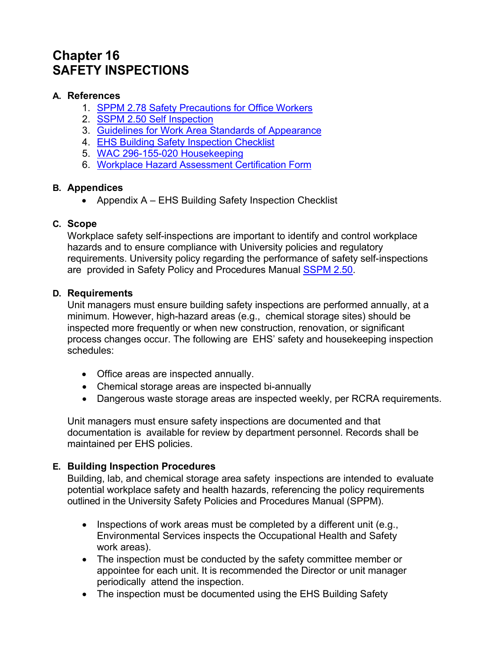# **Chapter 16 SAFETY INSPECTIONS**

### **A. References**

- 1. SPPM 2.78 Safety Precautions for Office Workers
- 2. SSPM 2.50 Self Inspection
- 3. Guidelines for Work Area Standards of Appearance
- 4. EHS Building Safety Inspection Checklist
- 5. WAC 296-155-020 Housekeeping
- 6. Workplace Hazard Assessment Certification Form

# **B. Appendices**

• Appendix A – EHS Building Safety Inspection Checklist

# **C. Scope**

Workplace safety self-inspections are important to identify and control workplace hazards and to ensure compliance with University policies and regulatory requirements. University policy regarding the performance of safety self-inspections are provided in Safety Policy and Procedures Manual SSPM 2.50.

#### **D. Requirements**

Unit managers must ensure building safety inspections are performed annually, at a minimum. However, high-hazard areas (e.g., chemical storage sites) should be inspected more frequently or when new construction, renovation, or significant process changes occur. The following are EHS' safety and housekeeping inspection schedules:

- Office areas are inspected annually.
- Chemical storage areas are inspected bi-annually
- Dangerous waste storage areas are inspected weekly, per RCRA requirements.

Unit managers must ensure safety inspections are documented and that documentation is available for review by department personnel. Records shall be maintained per EHS policies.

# **E. Building Inspection Procedures**

Building, lab, and chemical storage area safety inspections are intended to evaluate potential workplace safety and health hazards, referencing the policy requirements outlined in the University Safety Policies and Procedures Manual (SPPM).

- $\bullet$  Inspections of work areas must be completed by a different unit (e.g., Environmental Services inspects the Occupational Health and Safety work areas).
- The inspection must be conducted by the safety committee member or appointee for each unit. It is recommended the Director or unit manager periodically attend the inspection.
- The inspection must be documented using the EHS Building Safety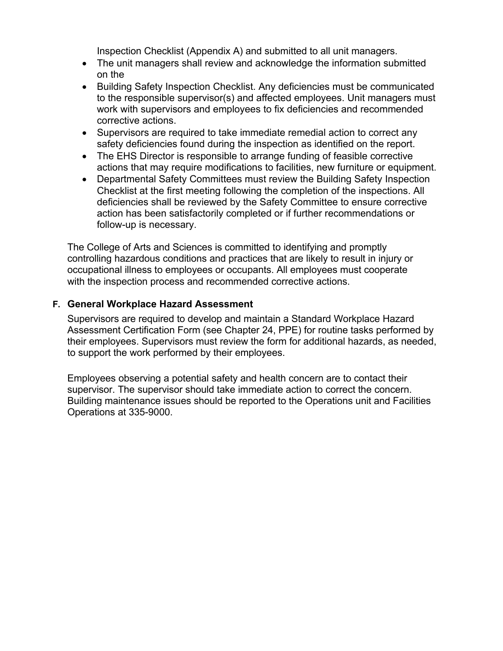Inspection Checklist (Appendix A) and submitted to all unit managers.

- The unit managers shall review and acknowledge the information submitted on the
- Building Safety Inspection Checklist. Any deficiencies must be communicated to the responsible supervisor(s) and affected employees. Unit managers must work with supervisors and employees to fix deficiencies and recommended corrective actions.
- Supervisors are required to take immediate remedial action to correct any safety deficiencies found during the inspection as identified on the report.
- The EHS Director is responsible to arrange funding of feasible corrective actions that may require modifications to facilities, new furniture or equipment.
- Departmental Safety Committees must review the Building Safety Inspection Checklist at the first meeting following the completion of the inspections. All deficiencies shall be reviewed by the Safety Committee to ensure corrective action has been satisfactorily completed or if further recommendations or follow-up is necessary.

The College of Arts and Sciences is committed to identifying and promptly controlling hazardous conditions and practices that are likely to result in injury or occupational illness to employees or occupants. All employees must cooperate with the inspection process and recommended corrective actions.

# **F. General Workplace Hazard Assessment**

Supervisors are required to develop and maintain a Standard Workplace Hazard Assessment Certification Form (see Chapter 24, PPE) for routine tasks performed by their employees. Supervisors must review the form for additional hazards, as needed, to support the work performed by their employees.

Employees observing a potential safety and health concern are to contact their supervisor. The supervisor should take immediate action to correct the concern. Building maintenance issues should be reported to the Operations unit and Facilities Operations at 335-9000.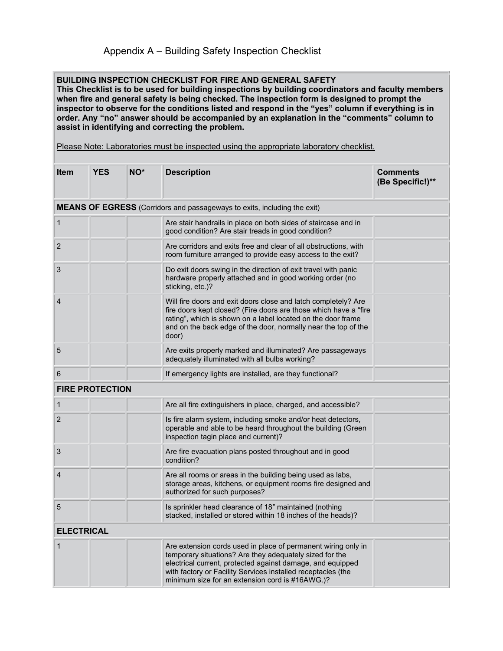# Appendix A – Building Safety Inspection Checklist

#### **BUILDING INSPECTION CHECKLIST FOR FIRE AND GENERAL SAFETY**

**This Checklist is to be used for building inspections by building coordinators and faculty members when fire and general safety is being checked. The inspection form is designed to prompt the inspector to observe for the conditions listed and respond in the "yes" column if everything is in order. Any "no" answer should be accompanied by an explanation in the "comments" column to assist in identifying and correcting the problem.**

Please Note: Laboratories must be inspected using the appropriate laboratory checklist.

| <b>Item</b>                                                              | <b>YES</b> | NO <sup>*</sup> | <b>Description</b>                                                                                                                                                                                                                                                                                        | <b>Comments</b><br>(Be Specific!)** |  |
|--------------------------------------------------------------------------|------------|-----------------|-----------------------------------------------------------------------------------------------------------------------------------------------------------------------------------------------------------------------------------------------------------------------------------------------------------|-------------------------------------|--|
| MEANS OF EGRESS (Corridors and passageways to exits, including the exit) |            |                 |                                                                                                                                                                                                                                                                                                           |                                     |  |
| 1                                                                        |            |                 | Are stair handrails in place on both sides of staircase and in<br>good condition? Are stair treads in good condition?                                                                                                                                                                                     |                                     |  |
| $\overline{c}$                                                           |            |                 | Are corridors and exits free and clear of all obstructions, with<br>room furniture arranged to provide easy access to the exit?                                                                                                                                                                           |                                     |  |
| 3                                                                        |            |                 | Do exit doors swing in the direction of exit travel with panic<br>hardware properly attached and in good working order (no<br>sticking, etc.)?                                                                                                                                                            |                                     |  |
| $\overline{4}$                                                           |            |                 | Will fire doors and exit doors close and latch completely? Are<br>fire doors kept closed? (Fire doors are those which have a "fire<br>rating", which is shown on a label located on the door frame<br>and on the back edge of the door, normally near the top of the<br>door)                             |                                     |  |
| 5                                                                        |            |                 | Are exits properly marked and illuminated? Are passageways<br>adequately illuminated with all bulbs working?                                                                                                                                                                                              |                                     |  |
| 6                                                                        |            |                 | If emergency lights are installed, are they functional?                                                                                                                                                                                                                                                   |                                     |  |
| <b>FIRE PROTECTION</b>                                                   |            |                 |                                                                                                                                                                                                                                                                                                           |                                     |  |
| 1                                                                        |            |                 | Are all fire extinguishers in place, charged, and accessible?                                                                                                                                                                                                                                             |                                     |  |
| $\overline{2}$                                                           |            |                 | Is fire alarm system, including smoke and/or heat detectors,<br>operable and able to be heard throughout the building (Green<br>inspection tagin place and current)?                                                                                                                                      |                                     |  |
| 3                                                                        |            |                 | Are fire evacuation plans posted throughout and in good<br>condition?                                                                                                                                                                                                                                     |                                     |  |
| 4                                                                        |            |                 | Are all rooms or areas in the building being used as labs,<br>storage areas, kitchens, or equipment rooms fire designed and<br>authorized for such purposes?                                                                                                                                              |                                     |  |
| 5                                                                        |            |                 | Is sprinkler head clearance of 18" maintained (nothing<br>stacked, installed or stored within 18 inches of the heads)?                                                                                                                                                                                    |                                     |  |
| <b>ELECTRICAL</b>                                                        |            |                 |                                                                                                                                                                                                                                                                                                           |                                     |  |
| 1                                                                        |            |                 | Are extension cords used in place of permanent wiring only in<br>temporary situations? Are they adequately sized for the<br>electrical current, protected against damage, and equipped<br>with factory or Facility Services installed receptacles (the<br>minimum size for an extension cord is #16AWG.)? |                                     |  |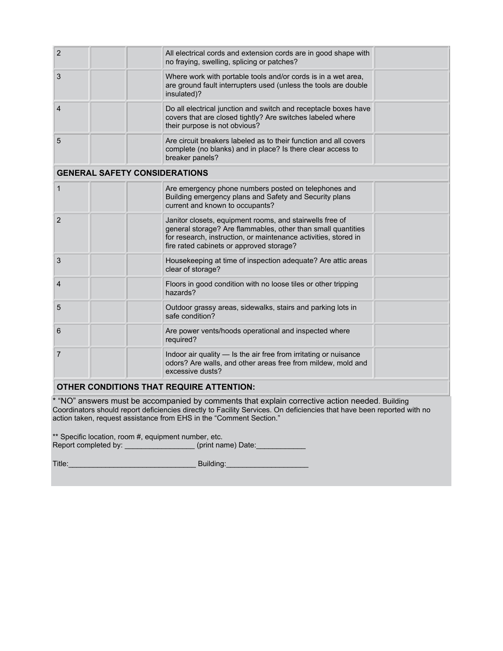| $\overline{2}$                                  | All electrical cords and extension cords are in good shape with<br>no fraying, swelling, splicing or patches?                                                                                                                           |  |  |  |  |
|-------------------------------------------------|-----------------------------------------------------------------------------------------------------------------------------------------------------------------------------------------------------------------------------------------|--|--|--|--|
| 3                                               | Where work with portable tools and/or cords is in a wet area,<br>are ground fault interrupters used (unless the tools are double<br>insulated)?                                                                                         |  |  |  |  |
| $\overline{4}$                                  | Do all electrical junction and switch and receptacle boxes have<br>covers that are closed tightly? Are switches labeled where<br>their purpose is not obvious?                                                                          |  |  |  |  |
| 5                                               | Are circuit breakers labeled as to their function and all covers<br>complete (no blanks) and in place? Is there clear access to<br>breaker panels?                                                                                      |  |  |  |  |
| <b>GENERAL SAFETY CONSIDERATIONS</b>            |                                                                                                                                                                                                                                         |  |  |  |  |
| $\mathbf{1}$                                    | Are emergency phone numbers posted on telephones and<br>Building emergency plans and Safety and Security plans<br>current and known to occupants?                                                                                       |  |  |  |  |
| $\overline{2}$                                  | Janitor closets, equipment rooms, and stairwells free of<br>general storage? Are flammables, other than small quantities<br>for research, instruction, or maintenance activities, stored in<br>fire rated cabinets or approved storage? |  |  |  |  |
| 3                                               | Housekeeping at time of inspection adequate? Are attic areas<br>clear of storage?                                                                                                                                                       |  |  |  |  |
| 4                                               | Floors in good condition with no loose tiles or other tripping<br>hazards?                                                                                                                                                              |  |  |  |  |
| 5                                               | Outdoor grassy areas, sidewalks, stairs and parking lots in<br>safe condition?                                                                                                                                                          |  |  |  |  |
| 6                                               | Are power vents/hoods operational and inspected where<br>required?                                                                                                                                                                      |  |  |  |  |
| $\overline{7}$                                  | Indoor air quality - Is the air free from irritating or nuisance<br>odors? Are walls, and other areas free from mildew, mold and<br>excessive dusts?                                                                                    |  |  |  |  |
| <b>OTHER CONDITIONS THAT REQUIRE ATTENTION:</b> |                                                                                                                                                                                                                                         |  |  |  |  |
| a contra della                                  |                                                                                                                                                                                                                                         |  |  |  |  |

\* "NO" answers must be accompanied by comments that explain corrective action needed. Building Coordinators should report deficiencies directly to Facility Services. On deficiencies that have been reported with no action taken, request assistance from EHS in the "Comment Section."

\*\* Specific location, room #, equipment number, etc. Report completed by: \_\_\_\_\_\_\_\_\_\_\_\_\_\_\_\_\_\_(print name) Date: \_\_\_\_\_\_\_\_\_\_\_\_\_\_\_

Title:\_\_\_\_\_\_\_\_\_\_\_\_\_\_\_\_\_\_\_\_\_\_\_\_\_\_\_\_\_\_\_ Building:\_\_\_\_\_\_\_\_\_\_\_\_\_\_\_\_\_\_\_\_